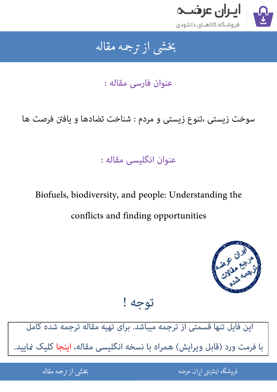

### بخشى از ترجمه مقاله شی از تر بخشی از :

عنوان فارسی مقاله :

سوخت زیستی ،تنوع زیستی و مردم : شناخت تضادها و یافتن فرصت ها

### عنوان انگلیسی مقاله :

# Biofuels, biodiversity, and people: Understanding the conflicts and finding opportunities



## توجه !

[این فایل تنها قسمتی از ترجمه میباشد. برای تهیه مقاله ترجمه شده کامل](http://iranarze.ir/biofuels+biodiversity+conflicts+finding+opportunities)  با فرمت ورد (قابل ویرایش) همراه با نسخه انگلیسی مقاله، اینجا کلیک Pایید.

> .<br>ه المواقع المواقع المواقع المواقع المواقع المواقع المواقع المواقع المواقع المواقع المواقع المواقع المواقع المو ֧֚֚֚֚֚֚֚֚֚֚֚֚֚֚֚֚֚֚֚֚֚֚֚֚֬֡֡֡֡֡֡֡֡֡֡֬֝֝֓֡֡֬ فروشگاه اینترنتی ایر

ان عرضه مقاله از ترجمه مقاله استخدام استخدام العامل العامل العامل العامل العامل العامل العامل العامل العامل ال